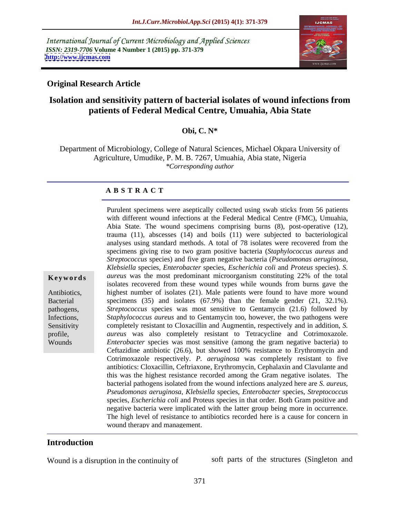International Journal of Current Microbiology and Applied Sciences *ISSN: 2319-7706* **Volume 4 Number 1 (2015) pp. 371-379 <http://www.ijcmas.com>**



### **Original Research Article**

# **Isolation and sensitivity pattern of bacterial isolates of wound infections from patients of Federal Medical Centre, Umuahia, Abia State**

### **Obi, C. N\***

Department of Microbiology, College of Natural Sciences, Michael Okpara University of Agriculture, Umudike, P. M. B. 7267, Umuahia, Abia state, Nigeria *\*Corresponding author*

Purulent specimens were aseptically collected using swab sticks from 56 patients with different wound infections at the Federal Medical Centre (FMC), Umuahia, Abia State. The wound specimens comprising burns (8), post-operative (12),

### **A B S T R A C T**

trauma (11), abscesses (14) and boils (11) were subjected to bacteriological analyses using standard methods. A total of 78 isolates were recovered from the specimens giving rise to two gram positive bacteria (*Staphylococcus aureus* and *Streptococcus* species) and five gram negative bacteria (*Pseudomonas aeruginosa, Klebsiella* species, *Enterobacter* species, *Escherichia coli* and *Proteus* species). *S.*  **Keywords** *aureus* was the most predominant microorganism constituting 22% of the total isolates recovered from these wound types while wounds from burns gave the highest number of isolates (21). Male patients were found to have more wound Antibiotics, Bacterial specimens (35) and isolates (67.9%) than the female gender (21, 32.1%). *Streptococcus* species was most sensitive to Gentamycin (21.6) followed by pathogens, S*taphylococcus aureus* and to Gentamycin too, however, the two pathogens were Infections, completely resistant to Cloxacillin and Augmentin, respectively and in addition, *S.*  Sensitivity profile, *aureus* was also completely resistant to Tetracycline and Cotrimoxazole. *Enterobacter* species was most sensitive (among the gram negative bacteria) to Ceftazidine antibiotic (26.6), but showed 100% resistance to Erythromycin and Cotrimoxazole respectively. *P. aeruginosa* was completely resistant to five antibiotics: Cloxacillin, Ceftriaxone, Erythromycin, Cephalaxin and Clavulante and this was the highest resistance recorded among the Gram negative isolates. The bacterial pathogens isolated from the wound infections analyzed here are *S. aureus, Pseudomonas aeruginosa*, *Klebsiella* species, *Enterobacter* species, *Streptococcus*  species, *Escherichia coli* and Proteus species in that order. Both Gram positive and negative bacteria were implicated with the latter group being more in occurrence. The high level of resistance to antibiotics recorded here is <sup>a</sup> cause for concern in wound therapy and management.

## **Introduction**

Wounds

Wound is a disruption in the continuity of soft parts of the structures (Singleton and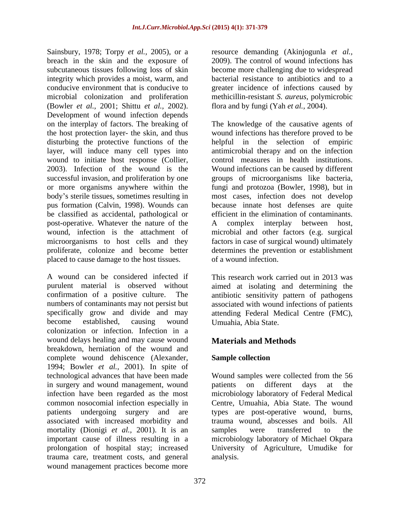Sainsbury, 1978; Torpy *et al.*, 2005), or a resource demanding (Akinjogunla *et al.*, breach in the skin and the exposure of 2009). The control of wound infections has subcutaneous tissues following loss of skin become more challenging due to widespread integrity which provides a moist, warm, and bacterial resistance to antibiotics and to a conducive environment that is conducive to microbial colonization and proliferation methicillin-resistant *S. aureus,* polymicrobic (Bowler *et al.,* 2001; Shittu *et al.,* 2002). Development of wound infection depends on the interplay of factors. The breaking of The knowledge of the causative agents of the host protection layer- the skin, and thus disturbing the protective functions of the helpful in the selection of empiric layer, will induce many cell types into antimicrobial therapy and on the infection wound to initiate host response (Collier, control measures in health institutions. 2003). Infection of the wound is the Wound infections can be caused by different successful invasion, and proliferation by one groups of microorganisms like bacteria, or more organisms anywhere within the fungi and protozoa (Bowler, 1998), but in body s sterile tissues, sometimes resulting in most cases, infection does not develop pus formation (Calvin, 1998). Wounds can be classified as accidental, pathological or post-operative. Whatever the nature of the A complex interplay between host, wound, infection is the attachment of microbial and other factors (e.g. surgical microorganisms to host cells and they factors in case of surgical wound) ultimately proliferate, colonize and become better determines the prevention or establishment placed to cause damage to the host tissues.

A wound can be considered infected if This research work carried out in 2013 was purulent material is observed without aimed at isolating and determining the confirmation of a positive culture. The antibiotic sensitivity pattern of pathogens numbers of contaminants may not persist but associated with wound infections of patients specifically grow and divide and may attending Federal Medical Centre (FMC), become established, causing wound colonization or infection. Infection in a wound delays healing and may cause wound breakdown, herniation of the wound and complete wound dehiscence (Alexander, Sample collection 1994; Bowler *et al.,* 2001). In spite of technological advances that have been made Wound samples were collected from the 56 in surgery and wound management, wound patients on different days at the infection have been regarded as the most microbiology laboratory of Federal Medical common nosocomial infection especially in Centre, Umuahia, Abia State. The wound patients undergoing surgery and are types are post-operative wound, burns, associated with increased morbidity and mortality (Dionigi *et al.*, 2001). It is an samples were transferred to the important cause of illness resulting in a microbiology laboratory of Michael Okpara prolongation of hospital stay; increased University of Agriculture, Umudike for trauma care, treatment costs, and general wound management practices become more

greater incidence of infections caused by flora and by fungi (Yah *et al.,* 2004).

wound infections has therefore proved to be because innate host defenses are quite efficient in the elimination of contaminants. A complex interplay between host, of a wound infection.

Umuahia, Abia State.

# **Materials and Methods**

## **Sample collection**

patients on different days at the trauma wound, abscesses and boils. All samples were transferred to the analysis.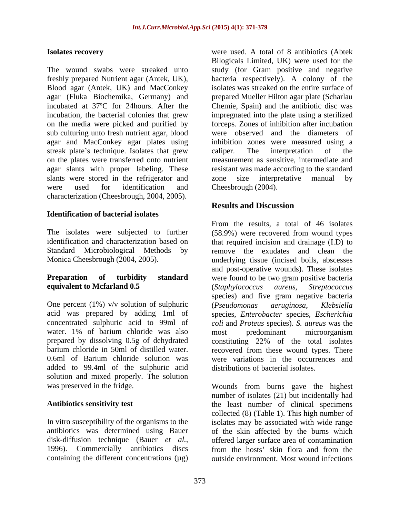The wound swabs were streaked unto study (for Gram positive and negative freshly prepared Nutrient agar (Antek, UK), bacteria respectively). A colony of the Blood agar (Antek, UK) and MacConkey agar (Fluka Biochemika, Germany) and prepared Mueller Hilton agar plate (Scharlau incubated at 37ºC for 24hours. After the Chemie, Spain) and the antibiotic disc was incubation, the bacterial colonies that grew impregnated into the plate using a sterilized on the media were picked and purified by sub culturing unto fresh nutrient agar, blood agar and MacConkey agar plates using inhibition zones were measured using a streak plate's technique. Isolates that grew caliper. The interpretation of the on the plates were transferred onto nutrient measurement as sensitive, intermediate and agar slants with proper labeling. These resistant was made according to the standard slants were stored in the refrigerator and zone size interpretative manual by were used for identification and Cheesbrough (2004). characterization (Cheesbrough, 2004, 2005).

### **Identification of bacterial isolates**

# **equivalent to Mcfarland 0.5** (Staphylococcus aureus, Streptococcus

One percent (1%) v/v solution of sulphuric (*Pseudomonas aeruginosa*, *Klebsiella* acid was prepared by adding 1ml of species, *Enterobacter* species, *Escherichia*  concentrated sulphuric acid to 99ml of *coli* and *Proteus* species). *S. aureus* was the water. 1% of barium chloride was also most predominant microorganism prepared by dissolving 0.5g of dehydrated barium chloride in 50ml of distilled water. recovered from these wound types. There 0.6ml of Barium chloride solution was were variations in the occurrences and added to 99.4ml of the sulphuric acid solution and mixed properly. The solution

**Isolates recovery** were used. A total of 8 antibiotics (Abtek Bilogicals Limited, UK) were used for the isolates was streaked on the entire surface of forceps. Zones of inhibition after incubation were observed and the diameters of caliper. The interpretation of the zone size interpretative manual by Cheesbrough (2004).

# **Results and Discussion**

The isolates were subjected to further (58.9%) were recovered from wound types identification and characterization based on that required incision and drainage (I.D) to Standard Microbiological Methods by remove the exudates and clean the Monica Cheesbrough (2004, 2005). underlying tissue (incised boils, abscesses **Preparation** of turbidity standard were found to be two gram positive bacteria From the results, a total of 46 isolates and post-operative wounds). These isolates (*Staphylococcus aureus, Streptococcus* species) and five gram negative bacteria (*Pseudomonas aeruginosa, Klebsiella* most predominant microorganism constituting 22% of the total isolates distributions of bacterial isolates.

was preserved in the fridge. Wounds from burns gave the highest Antibiotics sensitivity test **the least number** of clinical specimens In vitro susceptibility of the organisms to the isolates may be associated with wide range antibiotics was determined using Bauer of the skin affected by the burns which disk-diffusion technique (Bauer *et al.,* offered larger surface area of contamination 1996). Commercially antibiotics discs from the hosts' skin flora and from the containing the different concentrations (µg) outside environment. Most wound infections number of isolates (21) but incidentally had collected (8) (Table 1). This high number of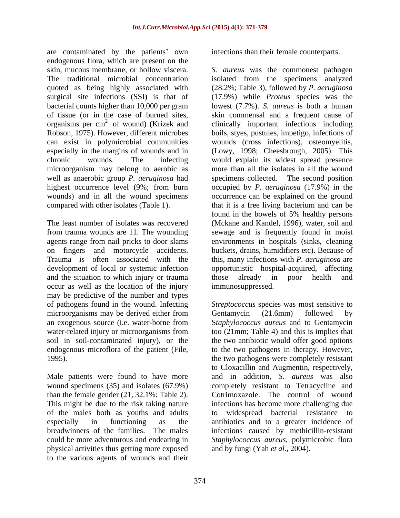are contaminated by the patients' own endogenous flora, which are present on the of tissue (or in the case of burned sites, organisms per  $cm<sup>2</sup>$  of wound) (Krizek and microorganism may belong to aerobic as well as anaerobic group *P. aeruginosa* had

on fingers and motorcycle accidents. and the situation to which injury or trauma those already in poor health and occur as well as the location of the injury may be predictive of the number and types microorganisms may be derived either from Gentamycin (21.6mm) followed by soil in soil-contaminated injury), or the

Male patients were found to have more This might be due to the risk taking nature of the males both as youths and adults physical activities thus getting more exposed to the various agents of wounds and their

infections than their female counterparts.

skin, mucous membrane, or hollow viscera. *S. aureus* was the commonest pathogen The traditional microbial concentration isolated from the specimens analyzed quoted as being highly associated with (28.2%; Table 3), followed by *P. aeruginosa*  surgical site infections (SSI) is that of (17.9%) while *Proteus* species was the bacterial counts higher than 10,000 per gram lowest (7.7%). *S. aureus* is both a human <sup>2</sup> of wound) (Krizek and clinically important infections including Robson, 1975). However, different microbes boils, styes, pustules, impetigo, infections of can exist in polymicrobial communities wounds (cross infections), osteomyelitis, especially in the margins of wounds and in (Lowy, 1998; Cheesbrough, 2005). This chronic wounds. The infecting would explain its widest spread presence highest occurrence level (9%; from burn occupied by *P. aeruginosa* (17.9%) in the wounds) and in all the wound specimens occurrence can be explained on the ground compared with other isolates (Table 1). that it is a free living bacterium and can be The least number of isolates was recovered (Mckane and Kandel, 1996), water, soil and from trauma wounds are 11. The wounding sewage and is frequently found in moist agents range from nail pricks to door slams environments in hospitals (sinks, cleaning Trauma is often associated with the this, many infections with *P. aeruginosa* are development of local or systemic infection opportunistic hospital-acquired, affecting skin commensal and a frequent cause of more than all the isolates in all the wound specimens collected. The second position found in the bowels of 5% healthy persons buckets, drains, humidifiers etc). Because of those already in poor health and immunosuppressed.

of pathogens found in the wound. Infecting *Streptococcus* species was most sensitive to an exogenous source (i.e. water-borne from S*taphylococcus aureus* and to Gentamycin water-related injury or microorganisms from too (21mm; Table 4) and this is implies that endogenous microflora of the patient (File, to the two pathogens in therapy. However, 1995). the two pathogens were completely resistant wound specimens (35) and isolates (67.9%) completely resistant to Tetracycline and than the female gender (21, 32.1%: Table 2). Cotrimoxazole. The control of wound especially in functioning as the antibiotics and to a greater incidence of breadwinners of the families. The males infections caused by methicillin-resistant could be more adventurous and endearing in *Staphylococcus aureus,* polymicrobic flora Gentamycin (21.6mm) followed by the two antibiotic would offer good options to Cloxacillin and Augmentin, respectively, and in addition, *S. aureus* was also infections has become more challenging due widespread bacterial resistance and by fungi (Yah *et al.,* 2004).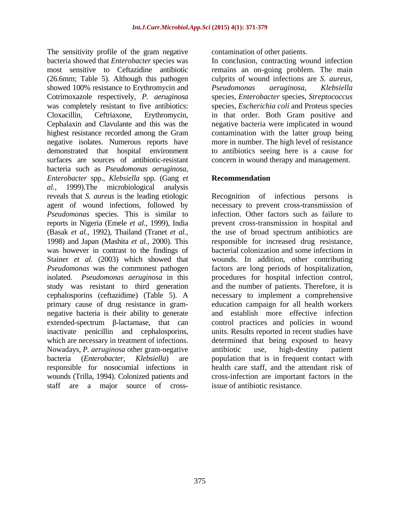The sensitivity profile of the gram negative contamination of other patients. bacteria showed that *Enterobacter* species was most sensitive to Ceftazidine antibiotic remains an on-going problem. The main (26.6mm; Table 5). Although this pathogen culprits of wound infections are *S. aureus,* showed 100% resistance to Erythromycin and Pseudomonas aeruginosa, Klebsiella Cotrimoxazole respectively, *P. aeruginosa* species, *Enterobacter* species, *Streptococcus*  was completely resistant to five antibiotics: species, *Escherichia coli* and Proteus species Cloxacillin, Ceftriaxone, Erythromycin, in that order. Both Gram positive and Cephalaxin and Clavulante and this was the negative bacteria were implicated in wound highest resistance recorded among the Gram contamination with the latter group being negative isolates. Numerous reports have more in number. The high level of resistance demonstrated that hospital environment to antibiotics seeing here is a cause for surfaces are sources of antibiotic-resistant bacteria such as *Pseudomonas aeruginosa, Enterobacter* spp., *Klebsiella* spp. (Gang *et al.,* 1999).The microbiological analysis reveals that *S. aureus* is the leading etiologic agent of wound infections, followed by necessary to prevent cross-transmission of *Pseudomonas* species. This is similar to reports in Nigeria (Emele *et al.,* 1999), India prevent cross-transmission in hospital and (Basak *et al.,* 1992), Thailand (Tranet *et al.,* the use of broad spectrum antibiotics are 1998) and Japan (Mashita *et al.,* 2000). This responsible for increased drug resistance, was however in contrast to the findings of Stainer *et al.* (2003) which showed that wounds. In addition, other contributing *Pseudomonas* was the commonest pathogen factors are long periods of hospitalization, isolated. *Pseudomonas aeruginosa* in this procedures for hospital infection control, study was resistant to third generation and the number of patients. Therefore, it is cephalosporins (ceftazidime) (Table 5). A necessary to implement a comprehensive primary cause of drug resistance in gram- education campaign for all health workers negative bacteria is their ability to generate and establish more effective infection  $extended-spectrum$   $\beta$ -lactamase, that can control practices and policies in wound inactivate penicillin and cephalosporins, units. Results reported in recent studies have which are necessary in treatment of infections. determined that being exposed to heavy Nowadays, *P. aeruginosa* other gram-negative bacteria (*Enterobacter, Klebsiella*) are population that is in frequent contact with responsible for nosocomial infections in health care staff, and the attendant risk of wounds (Trilla, 1994). Colonized patients and staff are a major source of cross-

contamination of other patients. In conclusion, contracting wound infection *Pseudomonas aeruginosa*, *Klebsiella* concern in wound therapy and management.

## **Recommendation**

Recognition of infectious infection. Other factors such as failure to bacterial colonization and some infections in antibiotic use, high-destiny patient cross-infection are important factors in the issue of antibiotic resistance.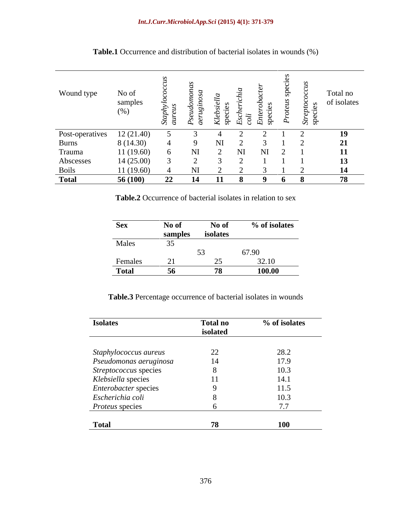| Wound type               | No of<br>samples<br>(%) | $\sim$ |  |  | $\infty$<br>ञ | Total no<br>of isolates                                   |
|--------------------------|-------------------------|--------|--|--|---------------|-----------------------------------------------------------|
|                          | 12(21.40)               |        |  |  |               | 19                                                        |
| Post-operatives<br>Burns | 8 (14.30)               |        |  |  |               |                                                           |
| Trauma                   | 11(19.60)               |        |  |  |               | $\begin{array}{c} \textbf{21} \\ \textbf{11} \end{array}$ |
| Abscesses                | 14(25.00)               |        |  |  |               | 13                                                        |
| <b>Boils</b>             | 11(19.60)               |        |  |  |               |                                                           |
| <b>Total</b>             | 56(100)                 | 22     |  |  |               | 78                                                        |

Table.1 Occurrence and distribution of bacterial isolates in wounds (%)

Table.2 Occurrence of bacterial isolates in relation to sex

| <b>Sex</b>   | No of   | No of    | % of isolates |
|--------------|---------|----------|---------------|
|              | samples | isolates |               |
| Males        | --      |          |               |
|              |         | $\sim$   | 67.90         |
| Females      |         |          | 32.10         |
| <b>Total</b> |         |          | 100.00        |

**Table.3** Percentage occurrence of bacterial isolates in wounds

| <b>Isolates</b>        | <b>Total no</b> | % of isolates |
|------------------------|-----------------|---------------|
|                        | isolated        |               |
|                        |                 |               |
| Staphylococcus aureus  | ∠∠              | 28.2          |
| Pseudomonas aeruginosa |                 | 17.9          |
| Streptococcus species  |                 | 10.3          |
| Klebsiella species     |                 | 14.1          |
| Enterobacter species   |                 | 11.5          |
| Escherichia coli       |                 | 10.3          |
| Proteus species        |                 | 7.7           |
|                        |                 |               |
| <b>Total</b>           | 78              | <b>100</b>    |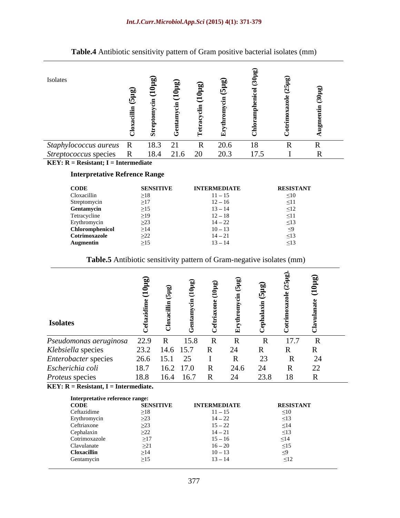| Table.4 Antibiotic sensitivity pattern of Gram positive bacterial isolates (mm) |                                                        |                  |                   |                        |      |                        |  |
|---------------------------------------------------------------------------------|--------------------------------------------------------|------------------|-------------------|------------------------|------|------------------------|--|
| Isolates                                                                        | $\check{ }$                                            |                  | $\smile$          |                        |      |                        |  |
| Staphylococcus aureus R                                                         |                                                        | 18.3 21          |                   | 20.6                   | 18   |                        |  |
| Streptococcus species                                                           |                                                        |                  | 18.4 21.6 20 20.3 |                        | 17.5 |                        |  |
| <b>KEY:</b> $R =$ <b>Resistant;</b> $I =$ <b>Intermediate</b>                   |                                                        |                  |                   |                        |      |                        |  |
| <b>Interpretative Refrence Range</b>                                            |                                                        |                  |                   |                        |      |                        |  |
|                                                                                 |                                                        |                  |                   |                        |      |                        |  |
| <b>CODE</b>                                                                     |                                                        | <b>SENSITIVE</b> |                   | <b>INTERMEDIATE</b>    |      | <b>RESISTANT</b>       |  |
| Cloxacillin                                                                     | $\geq$ 18                                              |                  |                   | $11 - 15$              |      | $\leq 10$              |  |
| Streptomycin<br>Gentamycin                                                      | $\geq$ 17<br>$\geq$ 15                                 |                  |                   | $12 - 16$<br>$13 - 14$ |      | $\leq 11$<br>$\leq$ 12 |  |
| Tetracycline                                                                    | $\geq$ 19                                              |                  |                   | $12 - 18$              |      | $\leq$ 11              |  |
|                                                                                 | $\geq$ 23                                              |                  |                   | $14 - 22$              |      | < 1.3                  |  |
| Erythromycin<br>Chloromphenicol                                                 | $\geq$ 14                                              |                  |                   | $10 - 13$              |      |                        |  |
| Cotrimoxazole                                                                   | $\begin{array}{l}\n \geq 22 \\  \geq 15\n \end{array}$ |                  |                   | $14 - 21$              |      |                        |  |
| <b>Augmentin</b>                                                                |                                                        |                  |                   | $13 - 14$              |      | $\leq$ 13              |  |
| Table.5 Antibiotic sensitivity pattern of Gram-negative isolates (mm)           |                                                        |                  |                   |                        |      |                        |  |
|                                                                                 | $\hat{a}$                                              |                  |                   | $\bullet$              |      |                        |  |

### **Interpretative Refrence Range**

| <b>CODE</b>     | <b>SENSITIVE</b> | <b>INTERMEDIATE</b>          | <b>RESISTANT</b> |
|-----------------|------------------|------------------------------|------------------|
| Cloxacillin     |                  |                              |                  |
| Streptomycin    |                  | $\overline{10}$<br>$12 - 10$ |                  |
| Gentamycin      |                  | $13 - 14$                    |                  |
| Tetracycline    |                  | $12 - 18$                    |                  |
| Erythromycin    |                  | $14 - 22$                    |                  |
| Chloromphenicol | .                | $10-17$                      |                  |
| Cotrimoxazo.    | ىت               |                              |                  |
| Augmentin       |                  | $\sim$                       |                  |

## **Table.5** Antibiotic sensitivity pattern of Gram-negative isolates (mm)

| <b>CODE</b>                 | <b>SENSITIVE</b> | <b>INTERMEDIATE</b> | <b>RESISTANT</b> |
|-----------------------------|------------------|---------------------|------------------|
| Ceftazidime                 | $\geq$ 18        | $11 - 15$           | $\leq 10$        |
|                             | $\sim$ 0.0       | $14 - 22$           |                  |
| Erythromycin<br>Ceftriaxone |                  | $15 - 22$           |                  |
| Cephalaxin                  | $\geq$ 22        | $14 - 21$           |                  |
| Cotrimoxazole               | $\geq$ 17        | $15 - 16$<br>$ -$   |                  |
| Clavulanate                 |                  | $16 - 20$           |                  |
|                             | $\geq$ 14        | $10 - 13$           |                  |
| Cloxacillin<br>Gentamycin   |                  | $13 - 14$           |                  |
|                             |                  |                     |                  |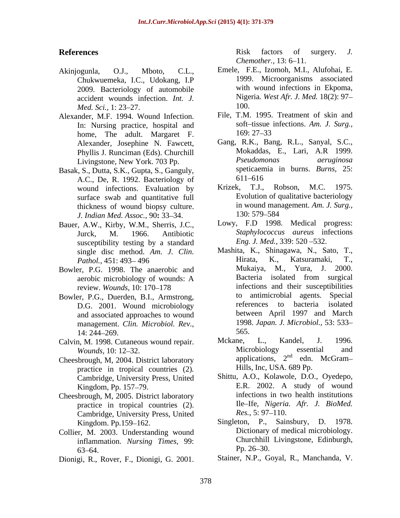- Chukwuemeka, I.C., Udokang, I.P 2009. Bacteriology of automobile accident wounds infection. *Int. J.* Nige<br>*Med Sci*, 1:23, 27, 100. *Med. Sci.,* 1: 23–27. 100.
- Alexander, M.F. 1994. Wound Infection. In: Nursing practice, hospital and soft-tissue home The adult Margaret F 169: 27–33 home, The adult. Margaret F. Alexander, Josephine N. Fawcett, Phyllis J. Runciman (Eds). Churchill
- Basak, S., Dutta, S.K., Gupta, S., Ganguly, speticaen<br>A.C. De R. 1992. Bacteriology of 611–616 A.C., De, R. 1992. Bacteriology of foll–616<br>wound infections Evaluation by Krizek, T.J., Robson, M.C. 1975. wound infections. Evaluation by surface swab and quantitative full thickness of wound biopsy culture. in wound man<br>*I Indian Med Assoc* 90: 33–34 130: 579–584 *J. Indian Med. Assoc., 90: 33-34.*
- Bauer, A.W., Kirby, W.M., Sherris, J.C., susceptibility testing by a standard
- 
- D.G. 2001. Wound microbiology references to and associated approaches to wound management. *Clin. Microbiol. Rev.,* 14: 244–269. 565.
- 
- Cheesbrough, M, 2004. District laboratory practice in tropical countries (2)*.* Cambridge, University Press, United
- Cheesbrough, M, 2005. District laboratory practice in tropical countries (2). Ile–Ife, Nigeria<br>Cambridge University Press United Res., 5:97–110. Cambridge, University Press, United
- Collier, M. 2003. Understanding wound inflammation. *Nursing Times*, 99: Churchhill<br>63–64 Pp. 26–30.  $63-64.$  Pp. 26-30.
- 

**References** Risk factors of surgery. J. *Chemother.,* 13: 6–11.

- Akinjogunla, O.J., Mboto, C.L., Emele, F.E., Izomoh, M.I., Alufohai, E. 1999. Microorganisms associated with wound infections in Ekpoma, Nigeria*. West Afr. J. Med.* 18(2): 97 100.
	- File, T.M. 1995. Treatment of skin and soft-tissue infections. Am. J. Surg., 169: 27 33
	- Livingstone, New York. 703 Pp. Gang, R.K., Bang, R.L., Sanyal, S.C., Mokaddas, E., Lari, A.R 1999. *Pseudomonas aeruginosa* speticaemia in burns. *Burns,* 25: 611-616
		- Krizek, T.J., Robson, M.C. 1975. Evolution of qualitative bacteriology in wound management. *Am. J. Surg.,* 130: 579 584
	- Jurck, M. 1966. Antibiotic *Staphylococcus aureus* infections Lowy, F.D 1998. Medical progress: *Eng. J. Med.,* 339: 520 532.
- single disc method. *Am. J. Clin.* Mashita, K., Shinagawa, N., Sato, T., Pathol 451:493–496 <br>Hirata, K., Katsuramaki, T., *Pathol.,* 451: 493 496 Bowler, P.G. 1998. The anaerobic and Mukaiya, M., Yura, J. 2000.<br>aerobic microbiology of wounds: A Bacteria isolated from surgical aerobic microbiology of wounds: A review. *Wounds*, 10: 170–178 infections and their susceptibilities Bowler, P.G., Duerden, B.I., Armstrong, to antimicrobial agents. Special<br>D.G. 2001 Wound microbiology references to bacteria isolated References<br>
References<br>
Aktiopagnia. O.J., Moto. C.L.. Enclic, Ed, Econob, M., Autoba, E.<br>
Actiopagnia. C., Horston, C. Horston, M., Autoba, E.<br>
2003. Distremented and intervals factors of surgery. Although its control in Mashita, K., Shinagawa, N., Sato, T., Hirata, K., Katsuramaki, T., Mukaiya, M., Yura, J. Bacteria isolated from surgical to antimicrobial agents. Special references to bacteria isolated between April 1997 and March 1998. *Japan. J. Microbiol.,* 53: 533 565.
- Calvin, M. 1998. Cutaneous wound repair. Mckane, L., Kandel, J. 1996.<br>Wounds 10: 12-32 Microbiology essential and *Wounds*, 10: 12–32. Microbiology essential and Mckane, L., Kandel, J. 1996. Microbiology essential and applications,  $2<sup>nd</sup>$  edn. McGram $n d$   $\alpha$   $M_0 G$ rom edn. McGram Hills, Inc, USA. 689 Pp.
	- Kingdom, Pp. 157–79. E.R. 2002. A study of wound Shittu, A.O., Kolawole, D.O., Oyedepo, E.R. 2002. A study of wound infections in two health institutions Ile Ife, *Nigeria. Afr. J. BioMed. Res.*, 5: 97–110.
	- Kingdom. Pp.159–162. Singleton, P., Sainsbury, D. 1978. Dictionary of medical microbiology. Churchhill Livingstone, Edinburgh,  $Pp. 26 - 30.$ 
		- Stainer, N.P., Goyal, R., Manchanda, V.